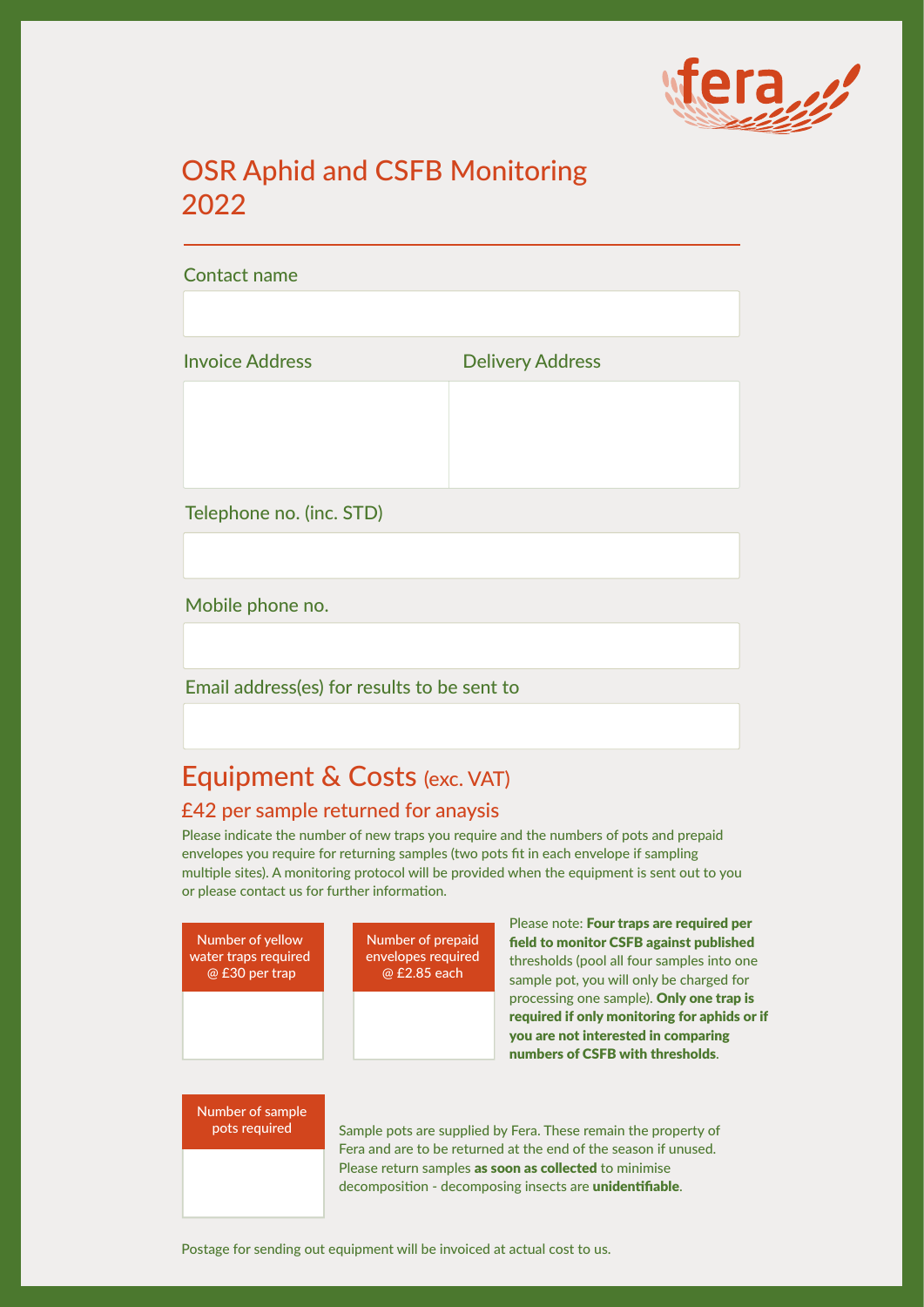

# OSR Aphid and CSFB Monitoring 2022

# Contact name

Invoice Address **Delivery Address** 

Telephone no. (inc. STD)

Mobile phone no.

Email address(es) for results to be sent to

# Equipment & Costs (exc. VAT)

## £42 per sample returned for anaysis

Please indicate the number of new traps you require and the numbers of pots and prepaid envelopes you require for returning samples (two pots fit in each envelope if sampling multiple sites). A monitoring protocol will be provided when the equipment is sent out to you or please contact us for further information.

| Number of yellow<br>water traps required<br>@ £30 per trap | Number of prepaid<br>envelopes required<br>@ £2.85 each | Please note: Four traps are required per<br>field to monitor CSFB against published<br>thresholds (pool all four samples into one<br>sample pot, you will only be charged for |
|------------------------------------------------------------|---------------------------------------------------------|-------------------------------------------------------------------------------------------------------------------------------------------------------------------------------|
|                                                            |                                                         | processing one sample). Only one trap is<br>required if only monitoring for aphids or if<br>you are not interested in comparing<br>numbers of CSFB with thresholds.           |
| Number of sample<br>pots required                          |                                                         | Sample pots are supplied by Fera. These remain the property of                                                                                                                |

Sample pots are supplied by Fera. These remain the property of Fera and are to be returned at the end of the season if unused. Please return samples as soon as collected to minimise decomposition - decomposing insects are unidentifiable.